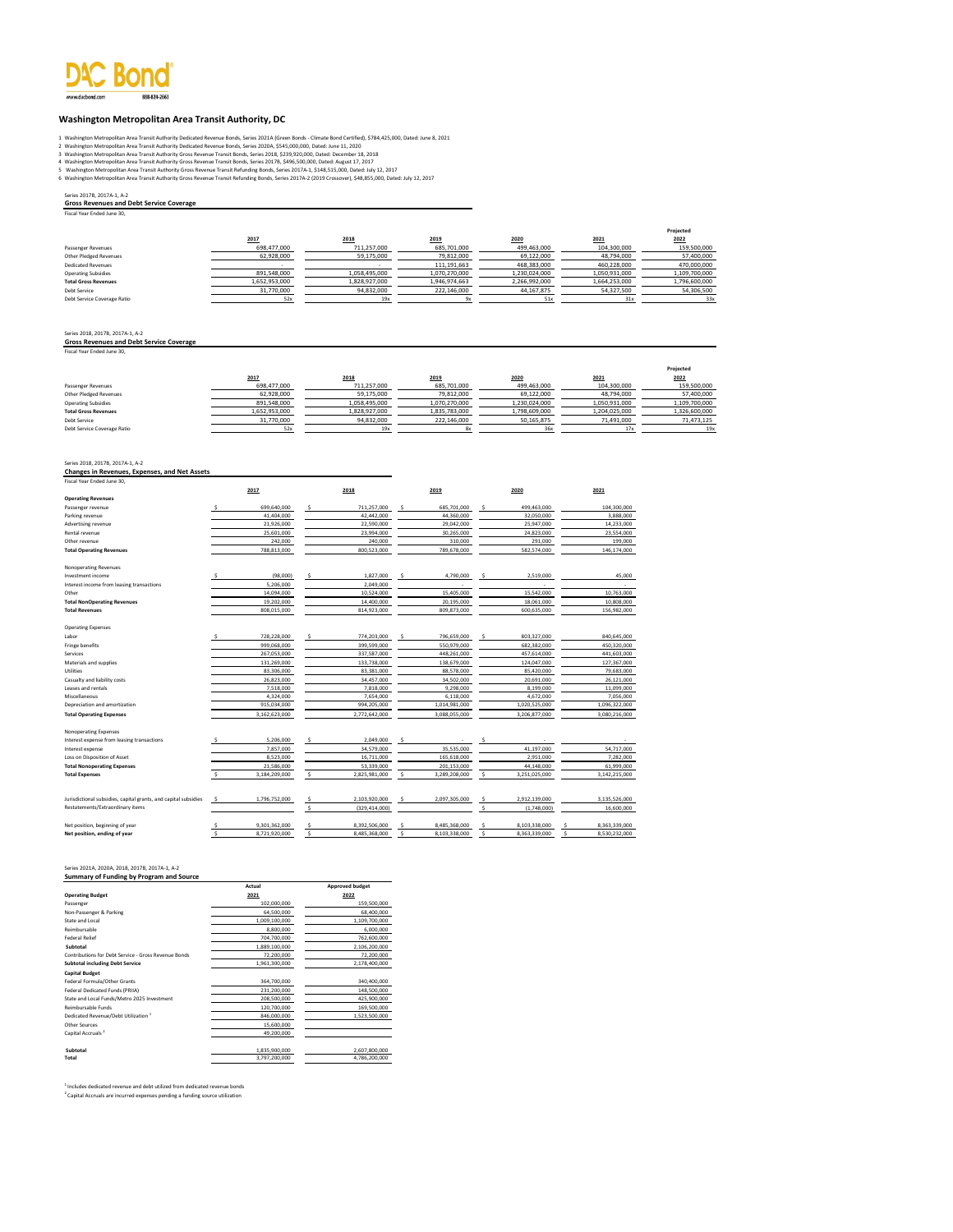

#### **Washington Metropolitan Area Transit Authority, DC**

- 
- 
- 
- 1 Washington Metropolitan Area Transit Authority Deelcated Revenue Bonds, Series 2020A (Green Bonds Clinical C<br>2 Washington Metropolitan Area Transit Authority Greds Revenue Bonds, Series 2020A, \$545,000,000, Dated: June 1
- 

#### Series 2017B, 2017A-1, A-2

**Gross Revenues and Debt Service Coverage** Fiscal Year Ended June 30,

|                             |               |               |               |               |               | Projected     |
|-----------------------------|---------------|---------------|---------------|---------------|---------------|---------------|
|                             | 2017          | 2018          | 2019          | 2020          | 2021          | 2022          |
| Passenger Revenues          | 698,477,000   | 711,257,000   | 685,701,000   | 499,463,000   | 104,300,000   | 159,500,000   |
| Other Pledged Revenues      | 62,928,000    | 59,175,000    | 79,812,000    | 69,122,000    | 48,794,000    | 57,400,000    |
| <b>Dedicated Revenues</b>   |               |               | 111, 191, 663 | 468,383,000   | 460,228,000   | 470,000,000   |
| <b>Operating Subsidies</b>  | 891,548,000   | 1,058,495,000 | 1,070,270,000 | 1,230,024,000 | 1,050,931,000 | 1,109,700,000 |
| <b>Total Gross Revenues</b> | 1,652,953,000 | 1,828,927,000 | 1,946,974,663 | 2,266,992,000 | 1,664,253,000 | 1,796,600,000 |
| Debt Service                | 31,770,000    | 94,832,000    | 222,146,000   | 44,167,875    | 54,327,500    | 54,306,500    |
| Debt Service Coverage Ratio | 52x           | 19x           | ū۷            | 51x           | 31x           | 33x           |

Series 2018, 2017B, 2017A-1, A-2 **Gross Revenues and Debt Service Coverage** Fiscal Year Ended June 30,

|                             |               |               |               |               |               | Projected     |
|-----------------------------|---------------|---------------|---------------|---------------|---------------|---------------|
|                             | 2017          | 2018          | 2019          | 2020          | 2021          | 2022          |
| Passenger Revenues          | 698,477,000   | 711,257,000   | 685,701,000   | 499,463,000   | 104,300,000   | 159,500,000   |
| Other Pledged Revenues      | 62.928.000    | 59,175,000    | 79,812,000    | 69,122,000    | 48,794,000    | 57,400,000    |
| <b>Operating Subsidies</b>  | 891.548.000   | 1.058.495.000 | 1.070.270.000 | 1.230.024.000 | 1.050.931.000 | 1,109,700,000 |
| <b>Total Gross Revenues</b> | 1,652,953,000 | 1,828,927,000 | 1,835,783,000 | 1,798,609,000 | 1,204,025,000 | 1,326,600,000 |
| Debt Service                | 31,770,000    | 94,832,000    | 222,146,000   | 50,165,875    | 71,491,000    | 71,473,125    |
| Debt Service Coverage Ratio | 52)           |               | 8x            | 36x           |               | 19x           |

## Series 2018, 2017B, 2017A-1, A-2 **Changes in Revenues, Expenses, and Net Assets**

Fiscal Year Ended June 30,

|                                                                 |    | 2017          |                    | 2018            | 2019         |               | 2020 |               |     | 2021          |
|-----------------------------------------------------------------|----|---------------|--------------------|-----------------|--------------|---------------|------|---------------|-----|---------------|
| <b>Operating Revenues</b>                                       |    |               |                    |                 |              |               |      |               |     |               |
| Passenger revenue                                               |    | 699.640.000   | \$.                | 711.257.000     | \$.          | 685.701.000   | ŝ    | 499,463,000   |     | 104.300.000   |
| Parking revenue                                                 |    | 41.404.000    |                    | 42.442.000      |              | 44.360.000    |      | 32.050.000    |     | 3.888.000     |
| Advertising revenue                                             |    | 21,926,000    |                    | 22,590,000      |              | 29,042,000    |      | 25,947,000    |     | 14,233,000    |
| Rental revenue                                                  |    | 25.601.000    |                    | 23.994.000      |              | 30.265.000    |      | 24.823.000    |     | 23,554,000    |
| Other revenue                                                   |    | 242,000       |                    | 240,000         |              | 310,000       |      | 291.000       |     | 199,000       |
| <b>Total Operating Revenues</b>                                 |    | 788,813,000   |                    | 800,523,000     |              | 789,678,000   |      | 582,574,000   |     | 146,174,000   |
|                                                                 |    |               |                    |                 |              |               |      |               |     |               |
| Nonoperating Revenues                                           |    |               |                    |                 |              |               |      |               |     |               |
| Investment income                                               |    | (98,000)      | \$                 | 1,827,000       | \$           | 4,790,000     | Ś    | 2,519,000     |     | 45,000        |
| Interest income from leasing transactions                       |    | 5.206.000     |                    | 2.049.000       |              |               |      |               |     |               |
| Other                                                           |    | 14,094,000    |                    | 10,524,000      |              | 15,405,000    |      | 15,542,000    |     | 10,763,000    |
| <b>Total NonOperating Revenues</b>                              |    | 19,202,000    |                    | 14,400,000      |              | 20.195.000    |      | 18,061,000    |     | 10,808,000    |
| <b>Total Revenues</b>                                           |    | 808,015,000   |                    | 814.923.000     |              | 809,873,000   |      | 600,635,000   |     | 156,982,000   |
| <b>Operating Expenses</b>                                       |    |               |                    |                 |              |               |      |               |     |               |
| Labor                                                           |    | 728,228,000   | ŝ                  | 774,203,000     | \$           | 796,659,000   | ŝ    | 803,327,000   |     | 840,645,000   |
| Fringe benefits                                                 |    | 999.068.000   |                    | 399,599,000     |              | 550,979,000   |      | 682,382,000   |     | 450,320,000   |
| Services                                                        |    | 267,053,000   |                    | 337,587,000     |              | 448.261.000   |      | 457,614,000   |     | 441,603,000   |
| Materials and supplies                                          |    | 131,269,000   |                    | 133,738,000     |              | 138,679,000   |      | 124,047,000   |     | 127,367,000   |
| Utilities                                                       |    | 83,306,000    |                    | 83.381.000      |              | 88.578.000    |      | 85.420.000    |     | 79,683,000    |
| Casualty and liability costs                                    |    | 26,823,000    |                    | 34,457,000      |              | 34,502,000    |      | 20,691,000    |     | 26,121,000    |
| Leases and rentals                                              |    | 7,518,000     |                    | 7,818,000       |              | 9.298.000     |      | 8.199.000     |     | 11,099,000    |
| Miscellaneous                                                   |    | 4,324,000     |                    | 7,654,000       |              | 6,118,000     |      | 4,672,000     |     | 7,056,000     |
| Depreciation and amortization                                   |    | 915,034,000   |                    | 994,205,000     |              | 1,014,981,000 |      | 1,020,525,000 |     | 1,096,322,000 |
| <b>Total Operating Expenses</b>                                 |    | 3,162,623,000 |                    | 2,772,642,000   |              | 3,088,055,000 |      | 3,206,877,000 |     | 3,080,216,000 |
|                                                                 |    |               |                    |                 |              |               |      |               |     |               |
| Nonoperating Expenses                                           |    |               |                    |                 |              |               |      |               |     |               |
| Interest expense from leasing transactions                      |    | 5,206,000     | ŝ                  | 2,049,000       | \$.          |               | S,   |               |     |               |
| Interest expense                                                |    | 7.857.000     |                    | 34,579,000      |              | 35.535.000    |      | 41,197,000    |     | 54.717.000    |
| Loss on Disposition of Asset                                    |    | 8,523,000     |                    | 16,711,000      |              | 165,618,000   |      | 2,951,000     |     | 7,282,000     |
| <b>Total Nonoperating Expenses</b>                              |    | 21,586,000    |                    | 53,339,000      |              | 201,153,000   |      | 44,148,000    |     | 61,999,000    |
| <b>Total Expenses</b>                                           | Ś  | 3,184,209,000 | \$                 | 2,825,981,000   | \$           | 3,289,208,000 | \$   | 3,251,025,000 |     | 3,142,215,000 |
|                                                                 |    |               |                    |                 |              |               |      |               |     |               |
| Jurisdictional subsidies, capital grants, and capital subsidies | .s | 1,796,752,000 | \$                 | 2,103,920,000   | s            | 2,097,305,000 | Ś    | 2,912,139,000 |     | 3,135,526,000 |
| Restatements/Extraordinary items                                |    |               | Ś                  | (329, 414, 000) |              |               | Ś    | (1,748,000)   |     | 16,600,000    |
| Net position, beginning of year                                 |    | 9,301,362,000 |                    | 8,392,506,000   | s            | 8,485,368,000 |      | 8,103,338,000 |     | 8,363,339,000 |
| Net position, ending of year                                    | ¢, | 8.721.920.000 | $\hat{\mathbf{z}}$ | 8.485.368.000   | $\mathsf{s}$ | 8.103.338.000 | Ś    | 8.363.339.000 | \$. | 8.530.232.000 |

# Series 2021A, 2020A, 2018, 2017B, 2017A-1, A-2 **Summary of Funding by Program and Source**

|                                                      | Actual        | <b>Approved budget</b> |
|------------------------------------------------------|---------------|------------------------|
| <b>Operating Budget</b>                              | 2021          | 2022                   |
| Passenger                                            | 102,000,000   | 159,500,000            |
| Non-Passenger & Parking                              | 64.500.000    | 68,400,000             |
| State and Local                                      | 1,009,100,000 | 1,109,700,000          |
| Reimbursable                                         | 8,800,000     | 6,000,000              |
| <b>Federal Relief</b>                                | 704.700.000   | 762.600.000            |
| Subtotal                                             | 1,889,100,000 | 2,106,200,000          |
| Contributions for Debt Service - Gross Revenue Bonds | 72,200,000    | 72,200,000             |
| <b>Subtotal including Debt Service</b>               | 1,961,300,000 | 2,178,400,000          |
| <b>Capital Budget</b>                                |               |                        |
| Federal Formula/Other Grants                         | 364,700,000   | 340.400.000            |
| Federal Dedicated Funds (PRIIA)                      | 231,200,000   | 148,500,000            |
| State and Local Funds/Metro 2025 Investment          | 208.500.000   | 425.900.000            |
| Reimbursable Funds                                   | 120.700.000   | 169,500,000            |
| Dedicated Revenue/Debt Utilization <sup>1</sup>      | 846,000,000   | 1,523,500,000          |
| Other Sources                                        | 15,600,000    |                        |
| Capital Accruals <sup>2</sup>                        | 49.200.000    |                        |
| Subtotal                                             | 1.835.900.000 | 2,607,800,000          |
| Total                                                | 3,797,200,000 | 4,786,200,000          |

<sup>1</sup> Includes dedicated revenue and debt utilized from dedicated revenue bonds<br><sup>2</sup> Capital Accruals are incurred expenses pending a funding source utilization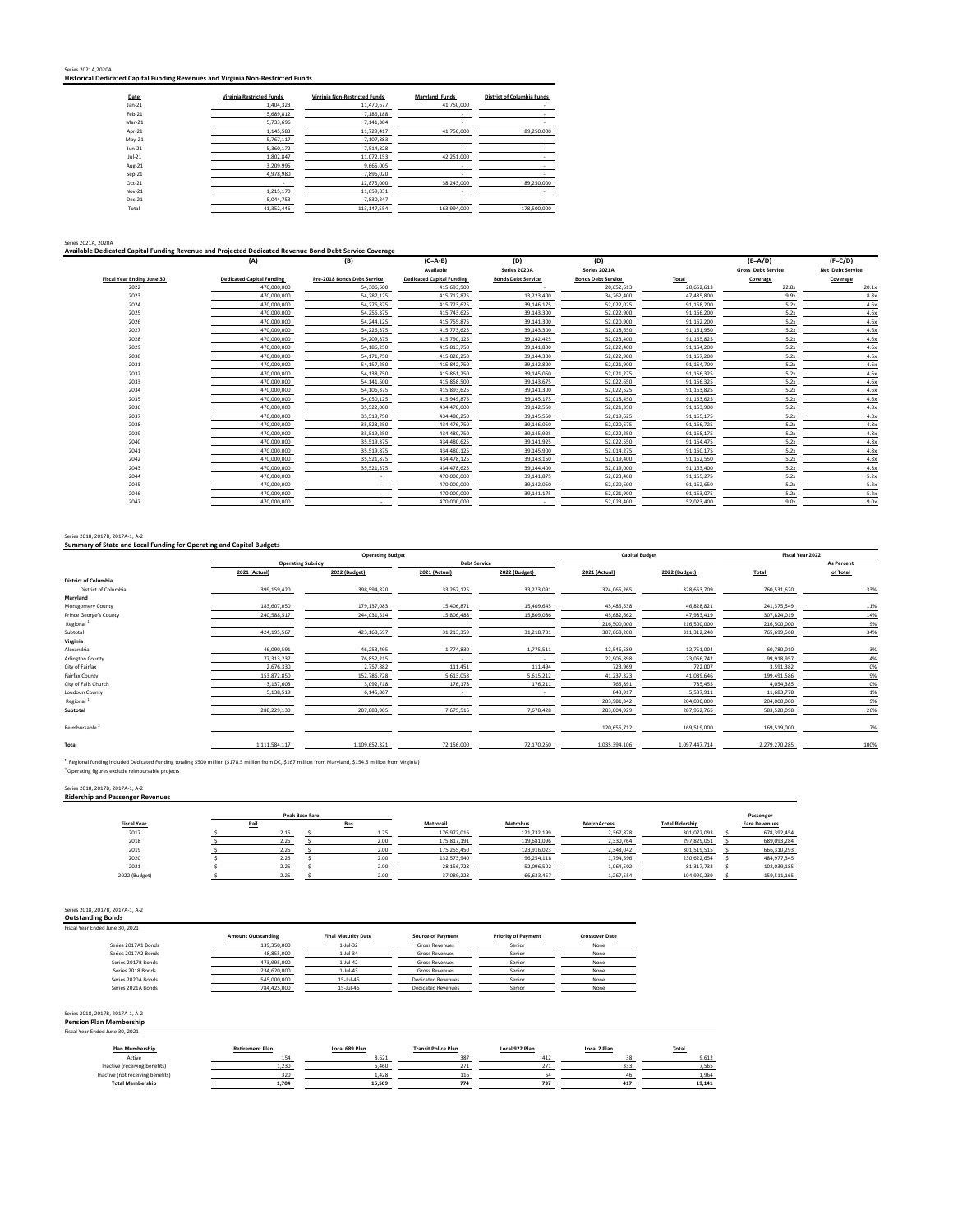| Series 2021A.2020A<br>Historical Dedicated Capital Funding Revenues and Virginia Non-Restricted Funds |
|-------------------------------------------------------------------------------------------------------|
|-------------------------------------------------------------------------------------------------------|

| Date     | <b>Virginia Restricted Funds</b> | Virginia Non-Restricted Funds | Maryland Funds | <b>District of Columbia Funds</b> |
|----------|----------------------------------|-------------------------------|----------------|-----------------------------------|
| $Jan-21$ | 1,404,323                        | 11,470,677                    | 41.750.000     | ٠                                 |
| Feb-21   | 5,689,812                        | 7,185,188                     | ۰              | ٠                                 |
| Mar-21   | 5,733,696                        | 7.141.304                     |                |                                   |
| Apr-21   | 1,145,583                        | 11.729.417                    | 41.750.000     | 89,250,000                        |
| $May-21$ | 5,767,117                        | 7.107.883                     | ۰              | ٠                                 |
| $Jun-21$ | 5,360,172                        | 7,514,828                     | ٠              | <b>Contract</b>                   |
| $Jul-21$ | 1,802,847                        | 11.072.153                    | 42.251.000     |                                   |
| Aug-21   | 3.209.995                        | 9.665.005                     | ٠              |                                   |
| $Sep-21$ | 4,978,980                        | 7.896.020                     | ۰              |                                   |
| $Oct-21$ |                                  | 12,875,000                    | 38,243,000     | 89,250,000                        |
| Nov-21   | 1.215.170                        | 11.659.831                    |                |                                   |
| Dec-21   | 5,044,753                        | 7.830.247                     | $\sim$         |                                   |
| Total    | 41.352.446                       | 113.147.554                   | 163.994.000    | 178,500,000                       |

#### Series 2021A, 2020A **Available Dedicated Capital Funding Revenue and Projected Dedicated Revenue Bond Debt Service Coverage**

|                                   | (A)                              | (B)                         | $(C=A-B)$                        | (D)                       | (D)                       |            | $(E=A/D)$                 | $(F=C/D)$               |
|-----------------------------------|----------------------------------|-----------------------------|----------------------------------|---------------------------|---------------------------|------------|---------------------------|-------------------------|
|                                   |                                  |                             | Available                        | Series 2020A              | Series 2021A              |            | <b>Gross Debt Service</b> | <b>Net Debt Service</b> |
| <b>Fiscal Year Ending June 30</b> | <b>Dedicated Capital Funding</b> | Pre-2018 Bonds Debt Service | <b>Dedicated Capital Funding</b> | <b>Bonds Debt Service</b> | <b>Bonds Debt Service</b> | Total      | Coverage                  | Coverage                |
| 2022                              | 470.000.000                      | 54.306.500                  | 415.693.500                      |                           | 20.652.613                | 20.652.613 | 22.8x                     | 20.1x                   |
| 2023                              | 470.000.000                      | 54,287,125                  | 415.712.875                      | 13,223,400                | 34.262.400                | 47.485.800 | 9.9x                      | 8.8x                    |
| 2024                              | 470,000,000                      | 54,276,375                  | 415,723,625                      | 39,146,175                | 52.022.025                | 91.168.200 | 5.2x                      | 4.6x                    |
| 2025                              | 470,000,000                      | 54,256,375                  | 415,743,625                      | 39,143,300                | 52,022,900                | 91.166.200 | 5.2x                      | 4.6x                    |
| 2026                              | 470,000,000                      | 54,244,125                  | 415,755,875                      | 39,141,300                | 52.020.900                | 91.162.200 | 5.2x                      | 4.6x                    |
| 2027                              | 470,000,000                      | 54,226,375                  | 415,773,625                      | 39,143,300                | 52,018,650                | 91,161,950 | 5.2x                      | 4.6x                    |
| 2028                              | 470,000,000                      | 54,209,875                  | 415,790,125                      | 39,142,425                | 52.023.400                | 91.165.825 | 5.2x                      | 4.6x                    |
| 2029                              | 470,000,000                      | 54,186,250                  | 415,813,750                      | 39,141,800                | 52,022,400                | 91.164.200 | 5.2x                      | 4.6x                    |
| 2030                              | 470,000,000                      | 54,171,750                  | 415.828.250                      | 39,144,300                | 52.022.900                | 91.167.200 | 5.2x                      | 4.6x                    |
| 2031                              | 470,000,000                      | 54,157,250                  | 415,842,750                      | 39,142,800                | 52,021,900                | 91.164.700 | 5.2x                      | 4.6x                    |
| 2032                              | 470,000,000                      | 54,138,750                  | 415.861.250                      | 39,145,050                | 52.021.275                | 91.166.325 | 5.2x                      | 4.6x                    |
| 2033                              | 470,000,000                      | 54,141,500                  | 415,858,500                      | 39,143,675                | 52,022,650                | 91,166,325 | 5.2x                      | 4.6x                    |
| 2034                              | 470,000,000                      | 54,106,375                  | 415,893,625                      | 39,141,300                | 52.022.525                | 91.163.825 | 5.2x                      | 4.6x                    |
| 2035                              | 470,000,000                      | 54,050,125                  | 415.949.875                      | 39,145,175                | 52.018.450                | 91.163.625 | 5.2x                      | 4.6x                    |
| 2036                              | 470,000,000                      | 35,522,000                  | 434,478,000                      | 39,142,550                | 52,021,350                | 91,163,900 | 5.2x                      | 4.8x                    |
| 2037                              | 470,000,000                      | 35,519,750                  | 434.480.250                      | 39,145,550                | 52.019.625                | 91.165.175 | 5.2x                      | 4.8x                    |
| 2038                              | 470,000,000                      | 35,523,250                  | 434,476,750                      | 39,146,050                | 52,020,675                | 91,166,725 | 5.2x                      | 4.8x                    |
| 2039                              | 470,000,000                      | 35,519,250                  | 434,480,750                      | 39,145,925                | 52.022.250                | 91.168.175 | 5.2x                      | 4.8x                    |
| 2040                              | 470,000,000                      | 35,519,375                  | 434,480,625                      | 39,141,925                | 52.022.550                | 91.164.475 | 5.2x                      | 4.8x                    |
| 2041                              | 470,000,000                      | 35,519,875                  | 434.480.125                      | 39,145,900                | 52.014.275                | 91.160.175 | 5.2x                      | 4.8x                    |
| 2042                              | 470,000,000                      | 35,521,875                  | 434,478,125                      | 39,143,150                | 52,019,400                | 91,162,550 | 5.2x                      | 4.8x                    |
| 2043                              | 470,000,000                      | 35,521,375                  | 434,478,625                      | 39,144,400                | 52,019,000                | 91,163,400 | 5.2x                      | 4.8x                    |
| 2044                              | 470,000,000                      |                             | 470.000.000                      | 39,141,875                | 52.023.400                | 91.165.275 | 5.2x                      | 5.2x                    |
| 2045                              | 470,000,000                      |                             | 470,000,000                      | 39,142,050                | 52,020,600                | 91,162,650 | 5.2x                      | 5.2x                    |
| 2046                              | 470,000,000                      |                             | 470,000,000                      | 39,141,175                | 52,021,900                | 91.163.075 | 5.2x                      | 5.2x                    |
| 2047                              | 470,000,000                      |                             | 470,000,000                      |                           | 52,023,400                | 52.023.400 | 9.0x                      | 9.0x                    |
|                                   |                                  |                             |                                  |                           |                           |            |                           |                         |

### Series 2018, 2017B, 2017A-1, A-2 **Summary of State and Local Funding for Operating and Capital Budgets**

|                             |                          | <b>Operating Budget</b> |               |                     | <b>Capital Budget</b> |               | Fiscal Year 2022 |                   |
|-----------------------------|--------------------------|-------------------------|---------------|---------------------|-----------------------|---------------|------------------|-------------------|
|                             | <b>Operating Subsidy</b> |                         |               | <b>Debt Service</b> |                       |               |                  | <b>As Percent</b> |
|                             | 2021 (Actual)            | 2022 (Budget)           | 2021 (Actual) | 2022 (Budget)       | 2021 (Actual)         | 2022 (Budget) | Total            | of Total          |
| <b>District of Columbia</b> |                          |                         |               |                     |                       |               |                  |                   |
| <b>District of Columbia</b> | 399,159,420              | 398,594,820             | 33,267,125    | 33,273,091          | 324,065,265           | 328,663,709   | 760,531,620      | 33%               |
| Maryland                    |                          |                         |               |                     |                       |               |                  |                   |
| Montgomery County           | 183,607,050              | 179,137,083             | 15,406,871    | 15,409,645          | 45.485.538            | 46,828,821    | 241,375,549      | 11%               |
| Prince George's County      | 240,588,517              | 244,031,514             | 15,806,488    | 15,809,086          | 45,682,662            | 47,983,419    | 307,824,019      | 14%               |
| Regional <sup>1</sup>       |                          |                         |               |                     | 216,500,000           | 216,500,000   | 216,500,000      | 9%                |
| Subtotal                    | 424,195,567              | 423,168,597             | 31,213,359    | 31,218,731          | 307,668,200           | 311, 312, 240 | 765,699,568      | 34%               |
| Virginia                    |                          |                         |               |                     |                       |               |                  |                   |
| Alexandria                  | 46,090,591               | 46,253,495              | 1,774,830     | 1,775,511           | 12,546,589            | 12,751,004    | 60,780,010       | 3%                |
| Arlington County            | 77,313,237               | 76,852,215              | ۰.            |                     | 22,905,898            | 23,066,742    | 99,918,957       | 4%                |
| City of Fairfax             | 2,676,330                | 2,757,882               | 111,451       | 111,494             | 723,969               | 722,007       | 3,591,382        | 0%                |
| Fairfax County              | 153,872,850              | 152,786,728             | 5,613,058     | 5,615,212           | 41,237,323            | 41,089,646    | 199,491,586      | 9%                |
| City of Falls Church        | 3,137,603                | 3,092,718               | 176,178       | 176,211             | 765,891               | 785,455       | 4,054,385        | 0%                |
| Loudoun County              | 5,138,519                | 6,145,867               |               |                     | 843,917               | 5,537,911     | 11.683.778       | 1%                |
| Regional <sup>1</sup>       |                          |                         |               |                     | 203,981,342           | 204,000,000   | 204,000,000      | 9%                |
| Subtotal                    | 288,229,130              | 287,888,905             | 7,675,516     | 7,678,428           | 283,004,929           | 287,952,765   | 583,520,098      | 26%               |
| Reimbursable <sup>2</sup>   |                          |                         |               |                     | 120,655,712           | 169,519,000   | 169,519,000      | 7%                |
| <b>Total</b>                | 1,111,584,117            | 1,109,652,321           | 72,156,000    | 72,170,250          | 1,035,394,106         | 1,097,447,714 | 2,279,270,285    | 100%              |

<sup>1</sup> Regional funding included Dedicated Funding totaling \$500 million (\$178.5 million from DC, \$167 million from Maryland, \$154.5 million from Virginia)<br><sup>2</sup> Operating figures exclude reimbursable projects

Series 2018, 2017B, 2017A-1, A-2 **Ridership and Passenger Revenues**

Passenger<br>**Fare Revenues**<br>678,392,454 **Fiscal Year Rail Bus Metrorail Metrobus MetroAccess Total Ridership Fare Revenues** 2017 \$ 2.15 \$ 1.75 176,972,016 121,732,199 2,367,878 301,072,093 \$ 678,392,454 2018 \$ 2.25 \$ 2.00 175,817,191 119,681,096 2,330,764 297,829,051 \$ 689,093,284 2019 \$ 2.25 \$ 2.00 175,255,450 123,916,023 2,348,042 301,519,515 \$ 666,310,293 2020 <u>\$ 2.25 \$ 2.00 132,573,940 96,254,118 1,794,596 230,622,654 \$ 484,977,345 2020</u> 2021 \$ 2.25 \$ 2.00 28,156,728 52,096,502 1,064,502 81,317,732 \$ 102,039,185 2022 (Budget) <u>\$ 2.25 \$ 2.00</u> 37,089,228 66,633,457 1,267,554 104,990,239 \$ 159,511,165 **Peak Base Fare** 

#### Series 2018, 2017B, 2017A-1, A-2

**Outstanding Bonds** Fiscal Year Ended June 30, 2021

| ed June 30. 2021    |                           |                            |                           |                            |                       |
|---------------------|---------------------------|----------------------------|---------------------------|----------------------------|-----------------------|
|                     | <b>Amount Outstanding</b> | <b>Final Maturity Date</b> | <b>Source of Payment</b>  | <b>Priority of Payment</b> | <b>Crossover Date</b> |
| Series 2017A1 Bonds | 139,350,000               | $1-Jul-32$                 | <b>Gross Revenues</b>     | Senior                     | None                  |
| Series 2017A2 Bonds | 48,855,000                | $1-Jul-34$                 | <b>Gross Revenues</b>     | Senior                     | None                  |
| Series 2017B Bonds  | 473.995.000               | $1-Jul-42$                 | <b>Gross Revenues</b>     | Senior                     | None                  |
| Series 2018 Bonds   | 234,620,000               | $1-Jul-43$                 | <b>Gross Revenues</b>     | Senior                     | None                  |
| Series 2020A Bonds  | 545.000.000               | $15 -$ Jul-45              | <b>Dedicated Revenues</b> | Senior                     | None                  |
| Series 2021A Bonds  | 784.425.000               | 15-Jul-46                  | <b>Dedicated Revenues</b> | Senior                     | None                  |
|                     |                           |                            |                           |                            |                       |

# Series 2018, 2017B, 2017A-1, A-2 **Pension Plan Membership**  Fiscal Year Ended June 30, 2021

| Plan Membership                   | <b>Retirement Plan</b> | Local 689 Plan | <b>Transit Police Plan</b> | Local 922 Plan | Local 2 Plan | Total  |
|-----------------------------------|------------------------|----------------|----------------------------|----------------|--------------|--------|
| Active                            |                        | 8621           | 387                        | 413            |              | 9.612  |
| Inactive (receiving benefits)     | 1.230                  | 5.460          | 27.78                      | 271            |              | 7.565  |
| Inactive (not receiving benefits) | 320                    | 1.428          |                            |                |              | 1964   |
| <b>Total Membership</b>           | 1.704                  | 15.509         | 774                        | 737            | 417          | 19.141 |
|                                   |                        |                |                            |                |              |        |